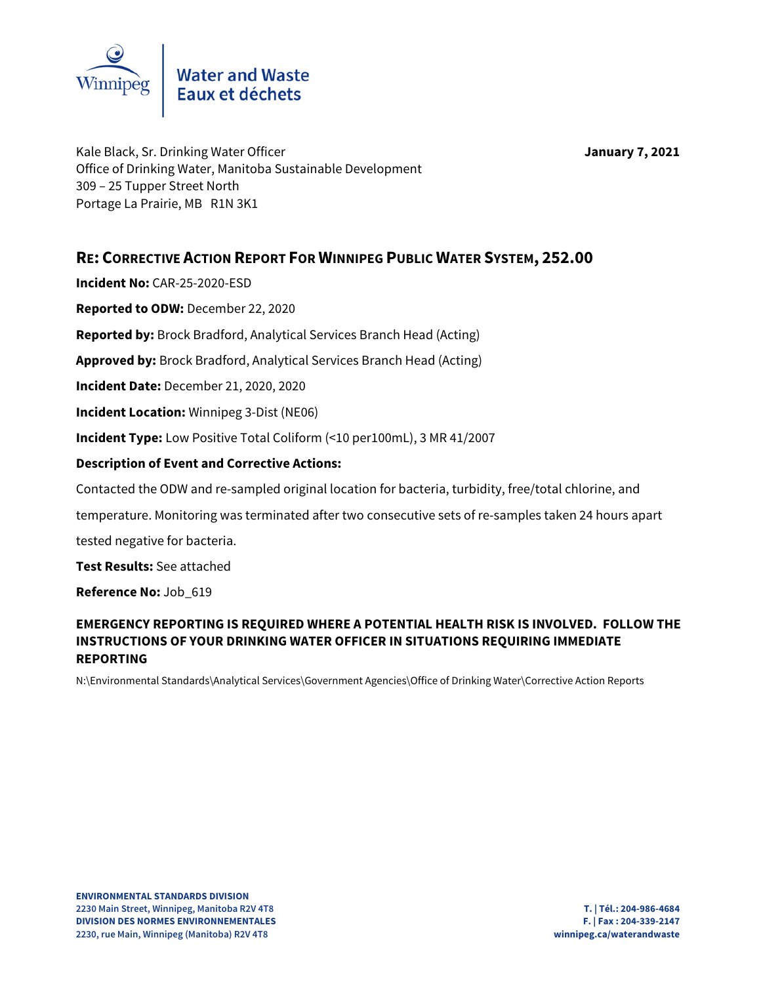

Kale Black, Sr. Drinking Water Officer **January 7, 2021** Office of Drinking Water, Manitoba Sustainable Development 309 – 25 Tupper Street North Portage La Prairie, MB R1N 3K1

## **RE: CORRECTIVE ACTION REPORT FOR WINNIPEG PUBLIC WATER SYSTEM, 252.00**

**Incident No:** CAR-25-2020-ESD

**Reported to ODW:** December 22, 2020

**Reported by:** Brock Bradford, Analytical Services Branch Head (Acting)

**Approved by:** Brock Bradford, Analytical Services Branch Head (Acting)

**Incident Date:** December 21, 2020, 2020

**Incident Location:** Winnipeg 3-Dist (NE06)

**Incident Type:** Low Positive Total Coliform (<10 per100mL), 3 MR 41/2007

## **Description of Event and Corrective Actions:**

Contacted the ODW and re-sampled original location for bacteria, turbidity, free/total chlorine, and

temperature. Monitoring was terminated after two consecutive sets of re-samples taken 24 hours apart tested negative for bacteria.

**Test Results:** See attached

**Reference No:** Job\_619

## **EMERGENCY REPORTING IS REQUIRED WHERE A POTENTIAL HEALTH RISK IS INVOLVED. FOLLOW THE INSTRUCTIONS OF YOUR DRINKING WATER OFFICER IN SITUATIONS REQUIRING IMMEDIATE REPORTING**

N:\Environmental Standards\Analytical Services\Government Agencies\Office of Drinking Water\Corrective Action Reports